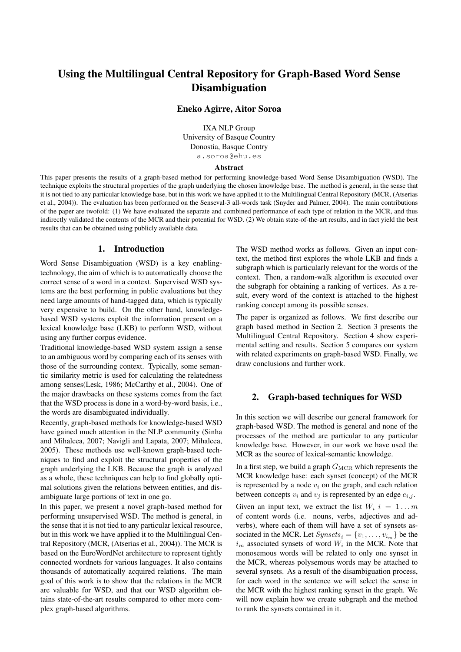# Using the Multilingual Central Repository for Graph-Based Word Sense Disambiguation

### Eneko Agirre, Aitor Soroa

IXA NLP Group University of Basque Country Donostia, Basque Contry a.soroa@ehu.es

#### Abstract

This paper presents the results of a graph-based method for performing knowledge-based Word Sense Disambiguation (WSD). The technique exploits the structural properties of the graph underlying the chosen knowledge base. The method is general, in the sense that it is not tied to any particular knowledge base, but in this work we have applied it to the Multilingual Central Repository (MCR, (Atserias et al., 2004)). The evaluation has been performed on the Senseval-3 all-words task (Snyder and Palmer, 2004). The main contributions of the paper are twofold: (1) We have evaluated the separate and combined performance of each type of relation in the MCR, and thus indirectly validated the contents of the MCR and their potential for WSD. (2) We obtain state-of-the-art results, and in fact yield the best results that can be obtained using publicly available data.

### 1. Introduction

Word Sense Disambiguation (WSD) is a key enablingtechnology, the aim of which is to automatically choose the correct sense of a word in a context. Supervised WSD systems are the best performing in public evaluations but they need large amounts of hand-tagged data, which is typically very expensive to build. On the other hand, knowledgebased WSD systems exploit the information present on a lexical knowledge base (LKB) to perform WSD, without using any further corpus evidence.

Traditional knowledge-based WSD system assign a sense to an ambiguous word by comparing each of its senses with those of the surrounding context. Typically, some semantic similarity metric is used for calculating the relatedness among senses(Lesk, 1986; McCarthy et al., 2004). One of the major drawbacks on these systems comes from the fact that the WSD process is done in a word-by-word basis, i.e., the words are disambiguated individually.

Recently, graph-based methods for knowledge-based WSD have gained much attention in the NLP community (Sinha and Mihalcea, 2007; Navigli and Lapata, 2007; Mihalcea, 2005). These methods use well-known graph-based techniques to find and exploit the structural properties of the graph underlying the LKB. Because the graph is analyzed as a whole, these techniques can help to find globally optimal solutions given the relations between entities, and disambiguate large portions of text in one go.

In this paper, we present a novel graph-based method for performing unsupervised WSD. The method is general, in the sense that it is not tied to any particular lexical resource, but in this work we have applied it to the Multilingual Central Repository (MCR, (Atserias et al., 2004)). The MCR is based on the EuroWordNet architecture to represent tightly connected wordnets for various languages. It also contains thousands of automatically acquired relations. The main goal of this work is to show that the relations in the MCR are valuable for WSD, and that our WSD algorithm obtains state-of-the-art results compared to other more complex graph-based algorithms.

The WSD method works as follows. Given an input context, the method first explores the whole LKB and finds a subgraph which is particularly relevant for the words of the context. Then, a random-walk algorithm is executed over the subgraph for obtaining a ranking of vertices. As a result, every word of the context is attached to the highest ranking concept among its possible senses.

The paper is organized as follows. We first describe our graph based method in Section 2. Section 3 presents the Multilingual Central Repository. Section 4 show experimental setting and results. Section 5 compares our system with related experiments on graph-based WSD. Finally, we draw conclusions and further work.

#### 2. Graph-based techniques for WSD

In this section we will describe our general framework for graph-based WSD. The method is general and none of the processes of the method are particular to any particular knowledge base. However, in our work we have used the MCR as the source of lexical-semantic knowledge.

In a first step, we build a graph  $G_{\text{MCR}}$  which represents the MCR knowledge base: each synset (concept) of the MCR is represented by a node  $v_i$  on the graph, and each relation between concepts  $v_i$  and  $v_j$  is represented by an edge  $e_{i,j}$ .

Given an input text, we extract the list  $W_i$   $i = 1...m$ of content words (i.e. nouns, verbs, adjectives and adverbs), where each of them will have a set of synsets associated in the MCR. Let  $Synsets_i = \{v_1, \ldots, v_{i_m}\}\)$  be the  $i_m$  associated synsets of word  $W_i$  in the MCR. Note that monosemous words will be related to only one synset in the MCR, whereas polysemous words may be attached to several synsets. As a result of the disambiguation process, for each word in the sentence we will select the sense in the MCR with the highest ranking synset in the graph. We will now explain how we create subgraph and the method to rank the synsets contained in it.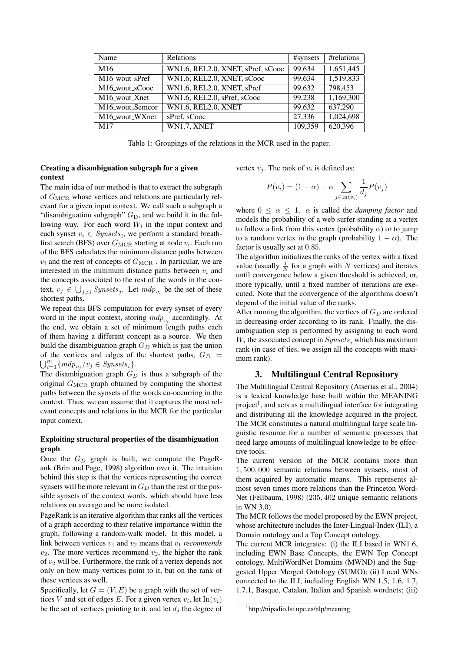| Name                       | Relations                         | #synsets | #relations |
|----------------------------|-----------------------------------|----------|------------|
| M <sub>16</sub>            | WN1.6, REL2.0, XNET, sPref, sCooc | 99,634   | 1,651,445  |
| $M16$ _wout_sPref          | WN1.6, REL2.0, XNET, sCooc        | 99,634   | 1,519,833  |
| M <sub>16_wout_sCooc</sub> | WN1.6, REL2.0, XNET, sPref        | 99,632   | 798,453    |
| M16_wout_Xnet              | WN1.6, REL2.0, sPref, sCooc       | 99,238   | 1,169,300  |
| M16_wout_Semcor            | <b>WN1.6, REL2.0, XNET</b>        | 99,632   | 637,290    |
| M16_wout_WXnet             | sPref, sCooc                      | 27,336   | 1,024,698  |
| M17                        | WN1.7, XNET                       | 109,359  | 620,396    |

Table 1: Groupings of the relations in the MCR used in the paper.

# Creating a disambiguation subgraph for a given context

The main idea of our method is that to extract the subgraph of  $G_{\text{MCR}}$  whose vertices and relations are particularly relevant for a given input context. We call such a subgraph a "disambiguation subgraph"  $G_D$ , and we build it in the following way. For each word  $W_i$  in the input context and each synset  $v_i \in Synsets_i$ , we perform a standard breathfirst search (BFS) over  $G_{\text{MCR}}$  starting at node  $v_i$ . Each run of the BFS calculates the minimum distance paths between  $v_i$  and the rest of concepts of  $G_{\text{MCR}}$ . In particular, we are interested in the minimum distance paths between  $v_i$  and the concepts associated to the rest of the words in the context,  $v_j \in \bigcup_{j \neq i} Systemsets_j$ . Let  $mdp_{v_i}$  be the set of these shortest paths.

We repeat this BFS computation for every synset of every word in the input context, storing  $mdp_{v_i}$  accordingly. At the end, we obtain a set of minimum length paths each of them having a different concept as a source. We then build the disambiguation graph  $G_D$  which is just the union of the vertices and edges of the shortest paths,  $G_D =$  $\bigcup_{i=1}^m \{m d p_{v_j}/v_j \in Synsets_i\}.$ 

The disambiguation graph  $G_D$  is thus a subgraph of the original  $G_{\text{MCR}}$  graph obtained by computing the shortest paths between the synsets of the words co-occurring in the context. Thus, we can assume that it captures the most relevant concepts and relations in the MCR for the particular input context.

### Exploiting structural properties of the disambiguation graph

Once the  $G_D$  graph is built, we compute the PageRank (Brin and Page, 1998) algorithm over it. The intuition behind this step is that the vertices representing the correct synsets will be more relevant in  $G_D$  than the rest of the possible synsets of the context words, which should have less relations on average and be more isolated.

PageRank is an iterative algorithm that ranks all the vertices of a graph according to their relative importance within the graph, following a random-walk model. In this model, a link between vertices  $v_1$  and  $v_2$  means that  $v_1$  *recommends*  $v_2$ . The more vertices recommend  $v_2$ , the higher the rank of  $v_2$  will be. Furthermore, the rank of a vertex depends not only on how many vertices point to it, but on the rank of these vertices as well.

Specifically, let  $G = (V, E)$  be a graph with the set of vertices V and set of edges E. For a given vertex  $v_i$ , let  $\text{In}(v_i)$ be the set of vertices pointing to it, and let  $d_j$  the degree of vertex  $v_j$ . The rank of  $v_i$  is defined as:

$$
P(v_i) = (1 - \alpha) + \alpha \sum_{j \in \text{In}(v_i)} \frac{1}{d_j} P(v_j)
$$

where  $0 \leq \alpha \leq 1$ .  $\alpha$  is called the *damping factor* and models the probability of a web surfer standing at a vertex to follow a link from this vertex (probability  $\alpha$ ) or to jump to a random vertex in the graph (probability  $1 - \alpha$ ). The factor is usually set at 0.85.

The algorithm initializes the ranks of the vertex with a fixed value (usually  $\frac{1}{N}$  for a graph with N vertices) and iterates until convergence below a given threshold is achieved, or, more typically, until a fixed number of iterations are executed. Note that the convergence of the algorithms doesn't depend of the initial value of the ranks.

After running the algorithm, the vertices of  $G_D$  are ordered in decreasing order according to its rank. Finally, the disambiguation step is performed by assigning to each word  $W_i$  the associated concept in  $Synsets_i$  which has maximum rank (in case of ties, we assign all the concepts with maximum rank).

# 3. Multilingual Central Repository

The Multilingual Central Repository (Atserias et al., 2004) is a lexical knowledge base built within the MEANING project<sup>1</sup>, and acts as a multilingual interface for integrating and distributing all the knowledge acquired in the project. The MCR constitutes a natural multilingual large scale linguistic resource for a number of semantic processes that need large amounts of multilingual knowledge to be effective tools.

The current version of the MCR contains more than 1, 500, 000 semantic relations between synsets, most of them acquired by automatic means. This represents almost seven times more relations than the Princeton Word-Net (Fellbaum, 1998) (235, 402 unique semantic relations in WN 3.0).

The MCR follows the model proposed by the EWN project, whose architecture includes the Inter-Lingual-Index (ILI), a Domain ontology and a Top Concept ontology.

The current MCR integrates: (i) the ILI based in WN1.6, including EWN Base Concepts, the EWN Top Concept ontology, MultiWordNet Domains (MWND) and the Suggested Upper Merged Ontology (SUMO); (ii) Local WNs connected to the ILI, including English WN 1.5, 1.6, 1.7, 1.7.1, Basque, Catalan, Italian and Spanish wordnets; (iii)

<sup>1</sup> http://nipadio.lsi.upc.es/nlp/meaning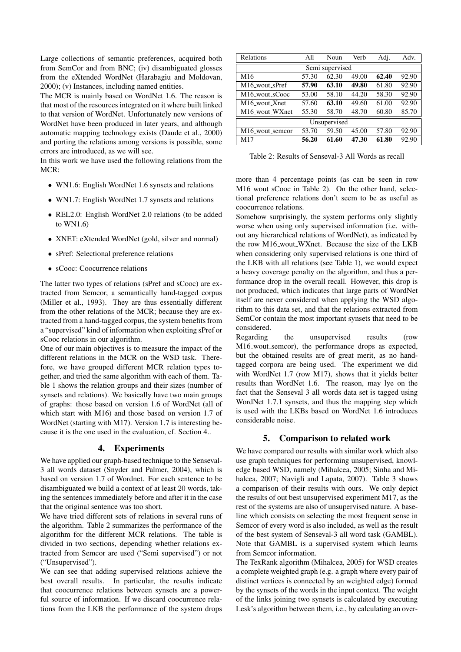Large collections of semantic preferences, acquired both from SemCor and from BNC; (iv) disambiguated glosses from the eXtended WordNet (Harabagiu and Moldovan, 2000); (v) Instances, including named entities.

The MCR is mainly based on WordNet 1.6. The reason is that most of the resources integrated on it where built linked to that version of WordNet. Unfortunately new versions of WordNet have been produced in later years, and although automatic mapping technology exists (Daude et al., 2000) and porting the relations among versions is possible, some errors are introduced, as we will see.

In this work we have used the following relations from the MCR:

- WN1.6: English WordNet 1.6 synsets and relations
- WN1.7: English WordNet 1.7 synsets and relations
- REL2.0: English WordNet 2.0 relations (to be added to WN1.6)
- XNET: eXtended WordNet (gold, silver and normal)
- sPref: Selectional preference relations
- sCooc: Coocurrence relations

The latter two types of relations (sPref and sCooc) are extracted from Semcor, a semantically hand-tagged corpus (Miller et al., 1993). They are thus essentially different from the other relations of the MCR; because they are extracted from a hand-tagged corpus, the system benefits from a "supervised" kind of information when exploiting sPref or sCooc relations in our algorithm.

One of our main objectives is to measure the impact of the different relations in the MCR on the WSD task. Therefore, we have grouped different MCR relation types together, and tried the same algorithm with each of them. Table 1 shows the relation groups and their sizes (number of synsets and relations). We basically have two main groups of graphs: those based on version 1.6 of WordNet (all of which start with M16) and those based on version 1.7 of WordNet (starting with M17). Version 1.7 is interesting because it is the one used in the evaluation, cf. Section 4..

### 4. Experiments

We have applied our graph-based technique to the Senseval-3 all words dataset (Snyder and Palmer, 2004), which is based on version 1.7 of Wordnet. For each sentence to be disambiguated we build a context of at least 20 words, taking the sentences immediately before and after it in the case that the original sentence was too short.

We have tried different sets of relations in several runs of the algorithm. Table 2 summarizes the performance of the algorithm for the different MCR relations. The table is divided in two sections, depending whether relations extracted from Semcor are used ("Semi supervised") or not ("Unsupervised").

We can see that adding supervised relations achieve the best overall results. In particular, the results indicate that coocurrence relations between synsets are a powerful source of information. If we discard coocurrence relations from the LKB the performance of the system drops

| <b>Relations</b>           | All   | Noun  | Verb  | Adj.  | Adv.  |  |  |  |
|----------------------------|-------|-------|-------|-------|-------|--|--|--|
| Semi supervised            |       |       |       |       |       |  |  |  |
| M <sub>16</sub>            | 57.30 | 62.30 | 49.00 | 62.40 | 92.90 |  |  |  |
| M16_wout_sPref             | 57.90 | 63.10 | 49.80 | 61.80 | 92.90 |  |  |  |
| M16_wout_sCooc             | 53.00 | 58.10 | 44.20 | 58.30 | 92.90 |  |  |  |
| M16_wout_Xnet              | 57.60 | 63.10 | 49.60 | 61.00 | 92.90 |  |  |  |
| M <sub>16</sub> wout WXnet | 55.30 | 58.70 | 48.70 | 60.80 | 85.70 |  |  |  |
| Unsupervised               |       |       |       |       |       |  |  |  |
| M16_wout_semcor            | 53.70 | 59.50 | 45.00 | 57.80 | 92.90 |  |  |  |
| M17                        | 56.20 | 61.60 | 47.30 | 61.80 | 92.90 |  |  |  |

Table 2: Results of Senseval-3 All Words as recall

more than 4 percentage points (as can be seen in row M16\_wout\_sCooc in Table 2). On the other hand, selectional preference relations don't seem to be as useful as coocurrence relations.

Somehow surprisingly, the system performs only slightly worse when using only supervised information (i.e. without any hierarchical relations of WordNet), as indicated by the row M16\_wout\_WXnet. Because the size of the LKB when considering only supervised relations is one third of the LKB with all relations (see Table 1), we would expect a heavy coverage penalty on the algorithm, and thus a performance drop in the overall recall. However, this drop is not produced, which indicates that large parts of WordNet itself are never considered when applying the WSD algorithm to this data set, and that the relations extracted from SemCor contain the most important synsets that need to be considered.

Regarding the unsupervised results (row M16 wout semcor), the performance drops as expected, but the obtained results are of great merit, as no handtagged corpora are being used. The experiment we did with WordNet 1.7 (row M17), shows that it yields better results than WordNet 1.6. The reason, may lye on the fact that the Senseval 3 all words data set is tagged using WordNet 1.7.1 synsets, and thus the mapping step which is used with the LKBs based on WordNet 1.6 introduces considerable noise.

### 5. Comparison to related work

We have compared our results with similar work which also use graph techniques for performing unsupervised, knowledge based WSD, namely (Mihalcea, 2005; Sinha and Mihalcea, 2007; Navigli and Lapata, 2007). Table 3 shows a comparison of their results with ours. We only depict the results of out best unsupervised experiment M17, as the rest of the systems are also of unsupervised nature. A baseline which consists on selecting the most frequent sense in Semcor of every word is also included, as well as the result of the best system of Senseval-3 all word task (GAMBL). Note that GAMBL is a supervised system which learns from Semcor information.

The TexRank algorithm (Mihalcea, 2005) for WSD creates a complete weighted graph (e.g. a graph where every pair of distinct vertices is connected by an weighted edge) formed by the synsets of the words in the input context. The weight of the links joining two synsets is calculated by executing Lesk's algorithm between them, i.e., by calculating an over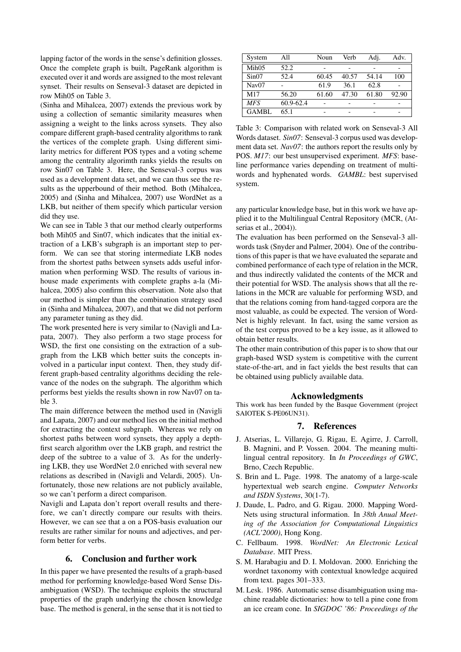lapping factor of the words in the sense's definition glosses. Once the complete graph is built, PageRank algorithm is executed over it and words are assigned to the most relevant synset. Their results on Senseval-3 dataset are depicted in row Mih05 on Table 3.

(Sinha and Mihalcea, 2007) extends the previous work by using a collection of semantic similarity measures when assigning a weight to the links across synsets. They also compare different graph-based centrality algorithms to rank the vertices of the complete graph. Using different similarity metrics for different POS types and a voting scheme among the centrality algorimth ranks yields the results on row Sin07 on Table 3. Here, the Senseval-3 corpus was used as a development data set, and we can thus see the results as the upperbound of their method. Both (Mihalcea, 2005) and (Sinha and Mihalcea, 2007) use WordNet as a LKB, but neither of them specify which particular version did they use.

We can see in Table 3 that our method clearly outperforms both Mih05 and Sin07, which indicates that the initial extraction of a LKB's subgraph is an important step to perform. We can see that storing intermediate LKB nodes from the shortest paths between synsets adds useful information when performing WSD. The results of various inhouse made experiments with complete graphs a-la (Mihalcea, 2005) also confirm this observation. Note also that our method is simpler than the combination strategy used in (Sinha and Mihalcea, 2007), and that we did not perform any parameter tuning as they did.

The work presented here is very similar to (Navigli and Lapata, 2007). They also perform a two stage process for WSD, the first one consisting on the extraction of a subgraph from the LKB which better suits the concepts involved in a particular input context. Then, they study different graph-based centrality algorithms deciding the relevance of the nodes on the subgraph. The algorithm which performs best yields the results shown in row Nav07 on table 3.

The main difference between the method used in (Navigli and Lapata, 2007) and our method lies on the initial method for extracting the context subgraph. Whereas we rely on shortest paths between word synsets, they apply a depthfirst search algorithm over the LKB graph, and restrict the deep of the subtree to a value of 3. As for the underlying LKB, they use WordNet 2.0 enriched with several new relations as described in (Navigli and Velardi, 2005). Unfortunately, those new relations are not publicly available, so we can't perform a direct comparison.

Navigli and Lapata don't report overall results and therefore, we can't directly compare our results with theirs. However, we can see that a on a POS-basis evaluation our results are rather similar for nouns and adjectives, and perform better for verbs.

# 6. Conclusion and further work

In this paper we have presented the results of a graph-based method for performing knowledge-based Word Sense Disambiguation (WSD). The technique exploits the structural properties of the graph underlying the chosen knowledge base. The method is general, in the sense that it is not tied to

| System            | All       | Noun  | Verb  | Adj.  | Adv.  |
|-------------------|-----------|-------|-------|-------|-------|
| Mih05             | 52.2      |       |       |       |       |
| Sin07             | 52.4      | 60.45 | 40.57 | 54.14 | 100   |
| Nav <sub>07</sub> |           | 61.9  | 36.1  | 62.8  |       |
| M17               | 56.20     | 61.60 | 47.30 | 61.80 | 92.90 |
| <b>MFS</b>        | 60.9-62.4 |       |       |       |       |
| <b>GAMBL</b>      | 65.1      |       |       |       |       |

Table 3: Comparison with related work on Senseval-3 All Words dataset. *Sin07*: Senseval-3 corpus used was development data set. *Nav07*: the authors report the results only by POS. *M17*: our best unsupervised experiment. *MFS*: baseline performance varies depending on treatment of multiwords and hyphenated words. *GAMBL*: best supervised system.

any particular knowledge base, but in this work we have applied it to the Multilingual Central Repository (MCR, (Atserias et al., 2004)).

The evaluation has been performed on the Senseval-3 allwords task (Snyder and Palmer, 2004). One of the contributions of this paper is that we have evaluated the separate and combined performance of each type of relation in the MCR, and thus indirectly validated the contents of the MCR and their potential for WSD. The analysis shows that all the relations in the MCR are valuable for performing WSD, and that the relations coming from hand-tagged corpora are the most valuable, as could be expected. The version of Word-Net is highly relevant. In fact, using the same version as of the test corpus proved to be a key issue, as it allowed to obtain better results.

The other main contribution of this paper is to show that our graph-based WSD system is competitive with the current state-of-the-art, and in fact yields the best results that can be obtained using publicly available data.

#### Acknowledgments

This work has been funded by the Basque Government (project SAIOTEK S-PE06UN31).

#### 7. References

- J. Atserias, L. Villarejo, G. Rigau, E. Agirre, J. Carroll, B. Magnini, and P. Vossen. 2004. The meaning multilingual central repository. In *In Proceedings of GWC*, Brno, Czech Republic.
- S. Brin and L. Page. 1998. The anatomy of a large-scale hypertextual web search engine. *Computer Networks and ISDN Systems*, 30(1-7).
- J. Daude, L. Padro, and G. Rigau. 2000. Mapping Word-Nets using structural information. In *38th Anual Meeting of the Association for Computational Linguistics (ACL'2000)*, Hong Kong.
- C. Fellbaum. 1998. *WordNet: An Electronic Lexical Database*. MIT Press.
- S. M. Harabagiu and D. I. Moldovan. 2000. Enriching the wordnet taxonomy with contextual knowledge acquired from text. pages 301–333.
- M. Lesk. 1986. Automatic sense disambiguation using machine readable dictionaries: how to tell a pine cone from an ice cream cone. In *SIGDOC '86: Proceedings of the*